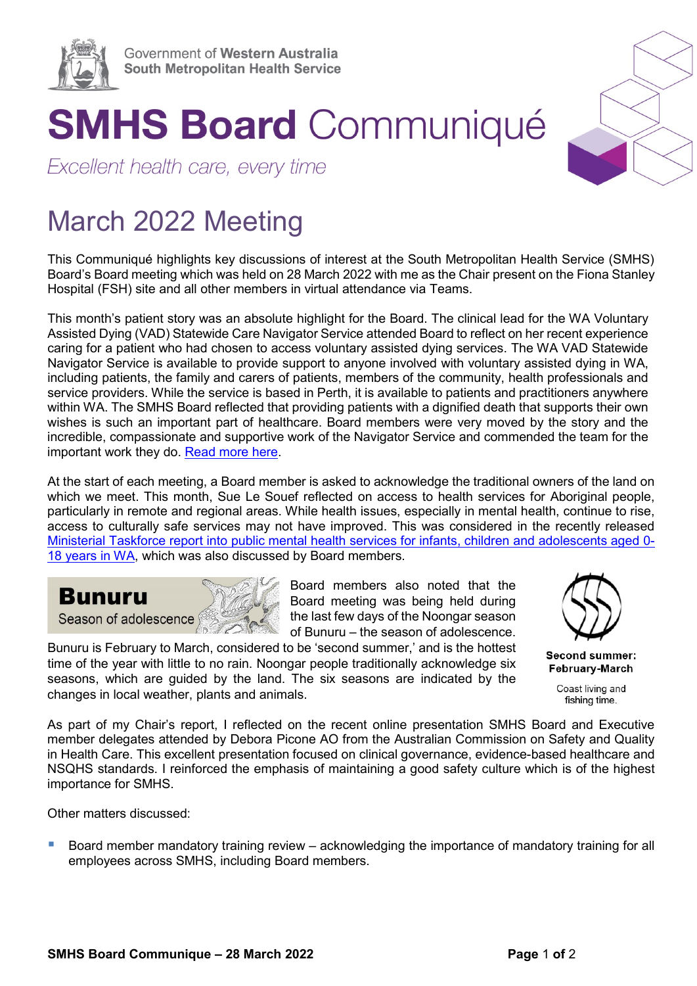

## **SMHS Board Communiqué**

Excellent health care, every time

## March 2022 Meeting

This Communiqué highlights key discussions of interest at the South Metropolitan Health Service (SMHS) Board's Board meeting which was held on 28 March 2022 with me as the Chair present on the Fiona Stanley Hospital (FSH) site and all other members in virtual attendance via Teams.

This month's patient story was an absolute highlight for the Board. The clinical lead for the WA Voluntary Assisted Dying (VAD) Statewide Care Navigator Service attended Board to reflect on her recent experience caring for a patient who had chosen to access voluntary assisted dying services. The WA VAD Statewide Navigator Service is available to provide support to anyone involved with voluntary assisted dying in WA, including patients, the family and carers of patients, members of the community, health professionals and service providers. While the service is based in Perth, it is available to patients and practitioners anywhere within WA. The SMHS Board reflected that providing patients with a dignified death that supports their own wishes is such an important part of healthcare. Board members were very moved by the story and the incredible, compassionate and supportive work of the Navigator Service and commended the team for the important work they do. [Read more here.](https://ww2.health.wa.gov.au/Articles/U_Z/Voluntary-assisted-dying/Statewide-Care-Navigator-Service#:%7E:text=WA%20Voluntary%20Assisted%20Dying%20Statewide%20Care%20Navigator%20Service,of%20the%20community%2C%20health%20professionals%20and%20service%20providers.?msclkid=51c4b8fdb2d211ecbfb0e36028aa2607)

At the start of each meeting, a Board member is asked to acknowledge the traditional owners of the land on which we meet. This month, Sue Le Souef reflected on access to health services for Aboriginal people. particularly in remote and regional areas. While health issues, especially in mental health, continue to rise, access to culturally safe services may not have improved. This was considered in the recently released [Ministerial Taskforce report into public mental health services for infants, children and adolescents aged 0-](https://www.mhc.wa.gov.au/media/4160/ica-taskforce-final-report-2022-mar2022.pdf?msclkid=06de38a0b2d311ec9ebe33afdc00d5e2) [18 years in WA,](https://www.mhc.wa.gov.au/media/4160/ica-taskforce-final-report-2022-mar2022.pdf?msclkid=06de38a0b2d311ec9ebe33afdc00d5e2) which was also discussed by Board members.



changes in local weather, plants and animals.

Board members also noted that the Board meeting was being held during the last few days of the Noongar season

of Bunuru – the season of adolescence. Bunuru is February to March, considered to be 'second summer,' and is the hottest time of the year with little to no rain. Noongar people traditionally acknowledge six seasons, which are guided by the land. The six seasons are indicated by the



Second summer: **February-March** 

> Coast living and fishing time.

As part of my Chair's report, I reflected on the recent online presentation SMHS Board and Executive member delegates attended by Debora Picone AO from the Australian Commission on Safety and Quality in Health Care. This excellent presentation focused on clinical governance, evidence-based healthcare and NSQHS standards. I reinforced the emphasis of maintaining a good safety culture which is of the highest importance for SMHS.

Other matters discussed:

**Board member mandatory training review** – acknowledging the importance of mandatory training for all employees across SMHS, including Board members.